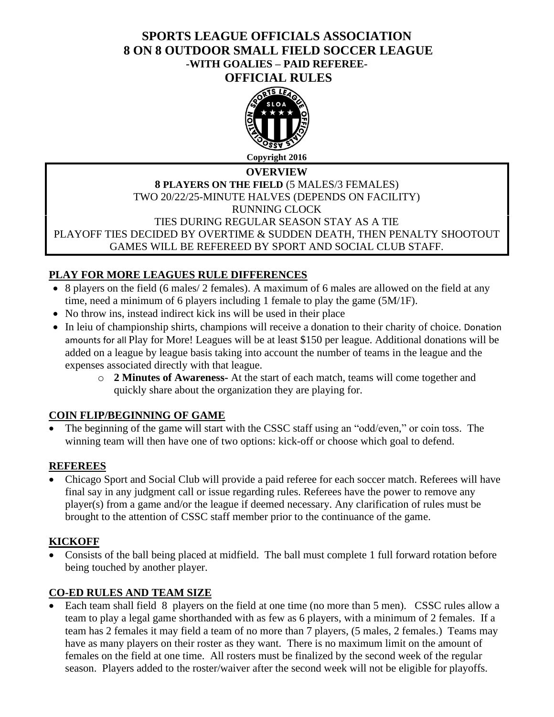# **SPORTS LEAGUE OFFICIALS ASSOCIATION 8 ON 8 OUTDOOR SMALL FIELD SOCCER LEAGUE -WITH GOALIES – PAID REFEREE-OFFICIAL RULES**



## **OVERVIEW 8 PLAYERS ON THE FIELD** (5 MALES/3 FEMALES) TWO 20/22/25-MINUTE HALVES (DEPENDS ON FACILITY) RUNNING CLOCK TIES DURING REGULAR SEASON STAY AS A TIE PLAYOFF TIES DECIDED BY OVERTIME & SUDDEN DEATH, THEN PENALTY SHOOTOUT GAMES WILL BE REFEREED BY SPORT AND SOCIAL CLUB STAFF.

# **PLAY FOR MORE LEAGUES RULE DIFFERENCES**

- 8 players on the field (6 males/ 2 females). A maximum of 6 males are allowed on the field at any time, need a minimum of 6 players including 1 female to play the game (5M/1F).
- No throw ins, instead indirect kick ins will be used in their place
- In leiu of championship shirts, champions will receive a donation to their charity of choice. Donation amounts for all Play for More! Leagues will be at least \$150 per league. Additional donations will be added on a league by league basis taking into account the number of teams in the league and the expenses associated directly with that league.
	- o **2 Minutes of Awareness-** At the start of each match, teams will come together and quickly share about the organization they are playing for.

# **COIN FLIP/BEGINNING OF GAME**

• The beginning of the game will start with the CSSC staff using an "odd/even," or coin toss. The winning team will then have one of two options: kick-off or choose which goal to defend.

# **REFEREES**

• Chicago Sport and Social Club will provide a paid referee for each soccer match. Referees will have final say in any judgment call or issue regarding rules. Referees have the power to remove any player(s) from a game and/or the league if deemed necessary. Any clarification of rules must be brought to the attention of CSSC staff member prior to the continuance of the game.

# **KICKOFF**

• Consists of the ball being placed at midfield. The ball must complete 1 full forward rotation before being touched by another player.

# **CO-ED RULES AND TEAM SIZE**

• Each team shall field 8 players on the field at one time (no more than 5 men). CSSC rules allow a team to play a legal game shorthanded with as few as 6 players, with a minimum of 2 females. If a team has 2 females it may field a team of no more than 7 players, (5 males, 2 females.) Teams may have as many players on their roster as they want. There is no maximum limit on the amount of females on the field at one time. All rosters must be finalized by the second week of the regular season. Players added to the roster/waiver after the second week will not be eligible for playoffs.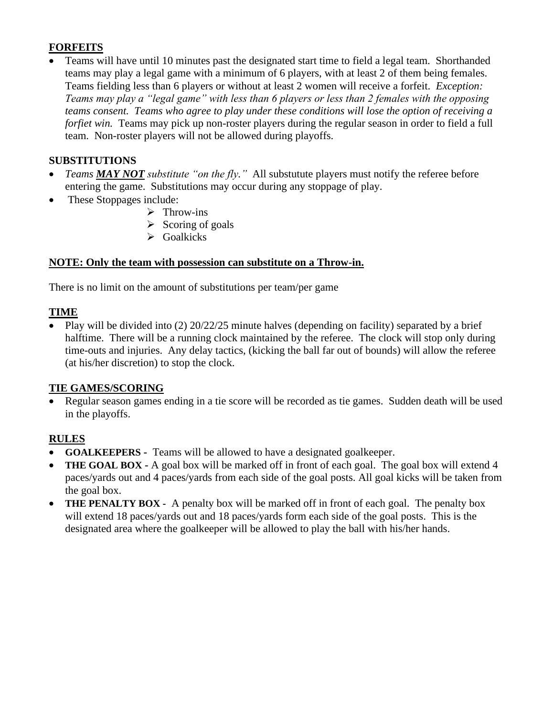# **FORFEITS**

• Teams will have until 10 minutes past the designated start time to field a legal team. Shorthanded teams may play a legal game with a minimum of 6 players, with at least 2 of them being females. Teams fielding less than 6 players or without at least 2 women will receive a forfeit. *Exception: Teams may play a "legal game" with less than 6 players or less than 2 females with the opposing teams consent. Teams who agree to play under these conditions will lose the option of receiving a forfiet* win. Teams may pick up non-roster players during the regular season in order to field a full team. Non-roster players will not be allowed during playoffs.

## **SUBSTITUTIONS**

- *Teams MAY NOT substitute "on the fly."* All substutute players must notify the referee before entering the game. Substitutions may occur during any stoppage of play.
- These Stoppages include:
	- ➢ Throw-ins
	- $\triangleright$  Scoring of goals
	- ➢ Goalkicks

## **NOTE: Only the team with possession can substitute on a Throw-in.**

There is no limit on the amount of substitutions per team/per game

## **TIME**

• Play will be divided into (2) 20/22/25 minute halves (depending on facility) separated by a brief halftime. There will be a running clock maintained by the referee. The clock will stop only during time-outs and injuries. Any delay tactics, (kicking the ball far out of bounds) will allow the referee (at his/her discretion) to stop the clock.

## **TIE GAMES/SCORING**

• Regular season games ending in a tie score will be recorded as tie games. Sudden death will be used in the playoffs.

# **RULES**

- **GOALKEEPERS** Teams will be allowed to have a designated goalkeeper.
- **THE GOAL BOX -** A goal box will be marked off in front of each goal. The goal box will extend 4 paces/yards out and 4 paces/yards from each side of the goal posts. All goal kicks will be taken from the goal box.
- **THE PENALTY BOX** A penalty box will be marked off in front of each goal. The penalty box will extend 18 paces/yards out and 18 paces/yards form each side of the goal posts. This is the designated area where the goalkeeper will be allowed to play the ball with his/her hands.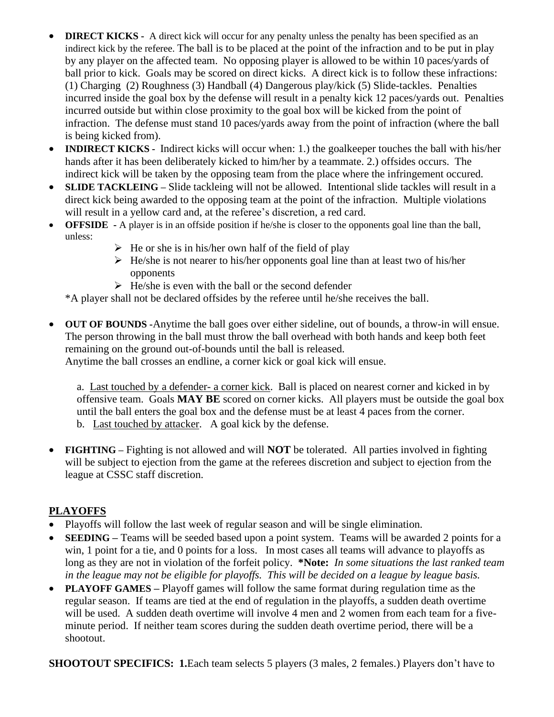- **DIRECT KICKS** A direct kick will occur for any penalty unless the penalty has been specified as an indirect kick by the referee. The ball is to be placed at the point of the infraction and to be put in play by any player on the affected team. No opposing player is allowed to be within 10 paces/yards of ball prior to kick. Goals may be scored on direct kicks. A direct kick is to follow these infractions: (1) Charging (2) Roughness (3) Handball (4) Dangerous play/kick (5) Slide-tackles. Penalties incurred inside the goal box by the defense will result in a penalty kick 12 paces/yards out. Penalties incurred outside but within close proximity to the goal box will be kicked from the point of infraction. The defense must stand 10 paces/yards away from the point of infraction (where the ball is being kicked from).
- **INDIRECT KICKS** Indirect kicks will occur when: 1.) the goalkeeper touches the ball with his/her hands after it has been deliberately kicked to him/her by a teammate. 2.) offsides occurs. The indirect kick will be taken by the opposing team from the place where the infringement occured.
- **SLIDE TACKLEING** Slide tackleing will not be allowed. Intentional slide tackles will result in a direct kick being awarded to the opposing team at the point of the infraction. Multiple violations will result in a yellow card and, at the referee's discretion, a red card.
- **OFFSIDE -** A player is in an offside position if he/she is closer to the opponents goal line than the ball, unless:
	- $\triangleright$  He or she is in his/her own half of the field of play
	- $\triangleright$  He/she is not nearer to his/her opponents goal line than at least two of his/her opponents
	- $\triangleright$  He/she is even with the ball or the second defender

\*A player shall not be declared offsides by the referee until he/she receives the ball.

• **OUT OF BOUNDS -**Anytime the ball goes over either sideline, out of bounds, a throw-in will ensue. The person throwing in the ball must throw the ball overhead with both hands and keep both feet remaining on the ground out-of-bounds until the ball is released.

Anytime the ball crosses an endline, a corner kick or goal kick will ensue.

a. Last touched by a defender- a corner kick. Ball is placed on nearest corner and kicked in by offensive team. Goals **MAY BE** scored on corner kicks. All players must be outside the goal box until the ball enters the goal box and the defense must be at least 4 paces from the corner. b. Last touched by attacker. A goal kick by the defense.

• **FIGHTING –** Fighting is not allowed and will **NOT** be tolerated. All parties involved in fighting will be subject to ejection from the game at the referees discretion and subject to ejection from the league at CSSC staff discretion.

# **PLAYOFFS**

- Playoffs will follow the last week of regular season and will be single elimination.
- **SEEDING** Teams will be seeded based upon a point system. Teams will be awarded 2 points for a win, 1 point for a tie, and 0 points for a loss. In most cases all teams will advance to playoffs as long as they are not in violation of the forfeit policy. **\*Note:** *In some situations the last ranked team in the league may not be eligible for playoffs. This will be decided on a league by league basis.*
- **PLAYOFF GAMES** Playoff games will follow the same format during regulation time as the regular season. If teams are tied at the end of regulation in the playoffs, a sudden death overtime will be used. A sudden death overtime will involve 4 men and 2 women from each team for a fiveminute period. If neither team scores during the sudden death overtime period, there will be a shootout.

**SHOOTOUT SPECIFICS: 1.**Each team selects 5 players (3 males, 2 females.) Players don't have to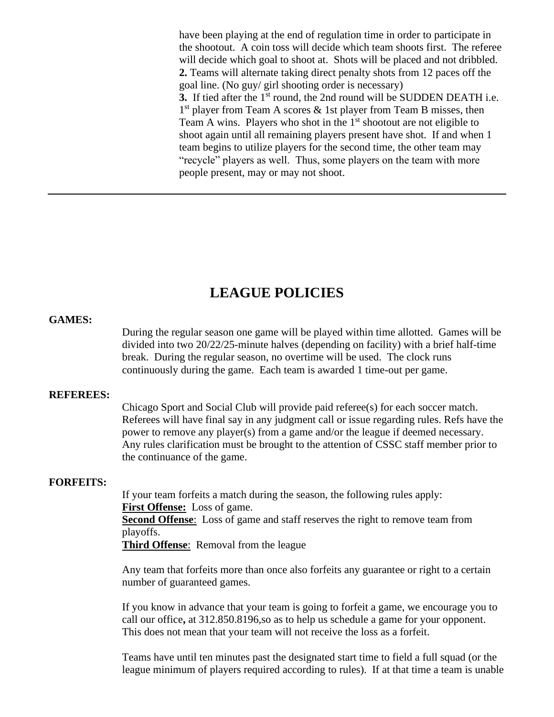have been playing at the end of regulation time in order to participate in the shootout. A coin toss will decide which team shoots first. The referee will decide which goal to shoot at. Shots will be placed and not dribbled. **2.** Teams will alternate taking direct penalty shots from 12 paces off the goal line. (No guy/ girl shooting order is necessary) **3.** If tied after the 1<sup>st</sup> round, the 2nd round will be SUDDEN DEATH i.e. 1<sup>st</sup> player from Team A scores & 1st player from Team B misses, then Team A wins. Players who shot in the  $1<sup>st</sup>$  shootout are not eligible to shoot again until all remaining players present have shot. If and when 1 team begins to utilize players for the second time, the other team may "recycle" players as well. Thus, some players on the team with more people present, may or may not shoot.

# **LEAGUE POLICIES**

### **GAMES:**

During the regular season one game will be played within time allotted. Games will be divided into two 20/22/25-minute halves (depending on facility) with a brief half-time break. During the regular season, no overtime will be used. The clock runs continuously during the game. Each team is awarded 1 time-out per game.

### **REFEREES:**

Chicago Sport and Social Club will provide paid referee(s) for each soccer match. Referees will have final say in any judgment call or issue regarding rules. Refs have the power to remove any player(s) from a game and/or the league if deemed necessary. Any rules clarification must be brought to the attention of CSSC staff member prior to the continuance of the game.

#### **FORFEITS:**

If your team forfeits a match during the season, the following rules apply: **First Offense:** Loss of game.

**Second Offense**: Loss of game and staff reserves the right to remove team from playoffs.

**Third Offense**: Removal from the league

Any team that forfeits more than once also forfeits any guarantee or right to a certain number of guaranteed games.

If you know in advance that your team is going to forfeit a game, we encourage you to call our office**,** at 312.850.8196,so as to help us schedule a game for your opponent. This does not mean that your team will not receive the loss as a forfeit.

Teams have until ten minutes past the designated start time to field a full squad (or the league minimum of players required according to rules). If at that time a team is unable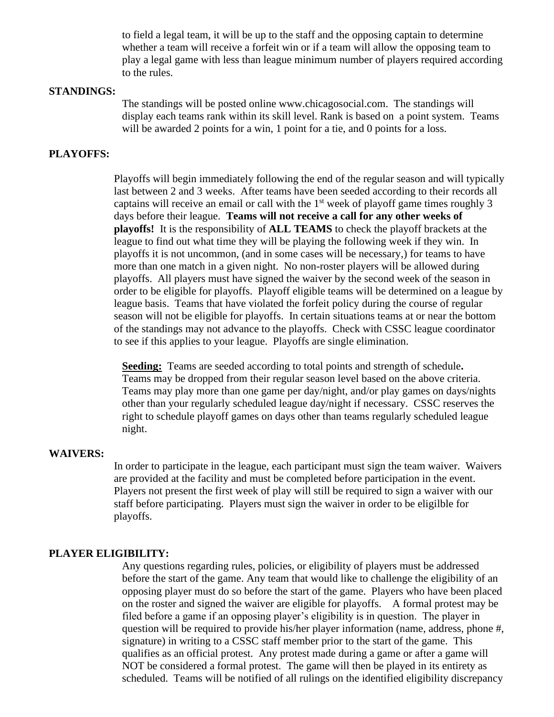to field a legal team, it will be up to the staff and the opposing captain to determine whether a team will receive a forfeit win or if a team will allow the opposing team to play a legal game with less than league minimum number of players required according to the rules.

### **STANDINGS:**

The standings will be posted online www.chicagosocial.com. The standings will display each teams rank within its skill level. Rank is based on a point system. Teams will be awarded 2 points for a win, 1 point for a tie, and 0 points for a loss.

### **PLAYOFFS:**

Playoffs will begin immediately following the end of the regular season and will typically last between 2 and 3 weeks. After teams have been seeded according to their records all captains will receive an email or call with the  $1<sup>st</sup>$  week of playoff game times roughly 3 days before their league. **Teams will not receive a call for any other weeks of playoffs!** It is the responsibility of **ALL TEAMS** to check the playoff brackets at the league to find out what time they will be playing the following week if they win. In playoffs it is not uncommon, (and in some cases will be necessary,) for teams to have more than one match in a given night. No non-roster players will be allowed during playoffs. All players must have signed the waiver by the second week of the season in order to be eligible for playoffs. Playoff eligible teams will be determined on a league by league basis. Teams that have violated the forfeit policy during the course of regular season will not be eligible for playoffs. In certain situations teams at or near the bottom of the standings may not advance to the playoffs. Check with CSSC league coordinator to see if this applies to your league. Playoffs are single elimination.

**Seeding:** Teams are seeded according to total points and strength of schedule**.** Teams may be dropped from their regular season level based on the above criteria. Teams may play more than one game per day/night, and/or play games on days/nights other than your regularly scheduled league day/night if necessary. CSSC reserves the right to schedule playoff games on days other than teams regularly scheduled league night.

### **WAIVERS:**

In order to participate in the league, each participant must sign the team waiver. Waivers are provided at the facility and must be completed before participation in the event. Players not present the first week of play will still be required to sign a waiver with our staff before participating. Players must sign the waiver in order to be eligilble for playoffs.

### **PLAYER ELIGIBILITY:**

Any questions regarding rules, policies, or eligibility of players must be addressed before the start of the game. Any team that would like to challenge the eligibility of an opposing player must do so before the start of the game. Players who have been placed on the roster and signed the waiver are eligible for playoffs. A formal protest may be filed before a game if an opposing player's eligibility is in question. The player in question will be required to provide his/her player information (name, address, phone #, signature) in writing to a CSSC staff member prior to the start of the game. This qualifies as an official protest. Any protest made during a game or after a game will NOT be considered a formal protest. The game will then be played in its entirety as scheduled. Teams will be notified of all rulings on the identified eligibility discrepancy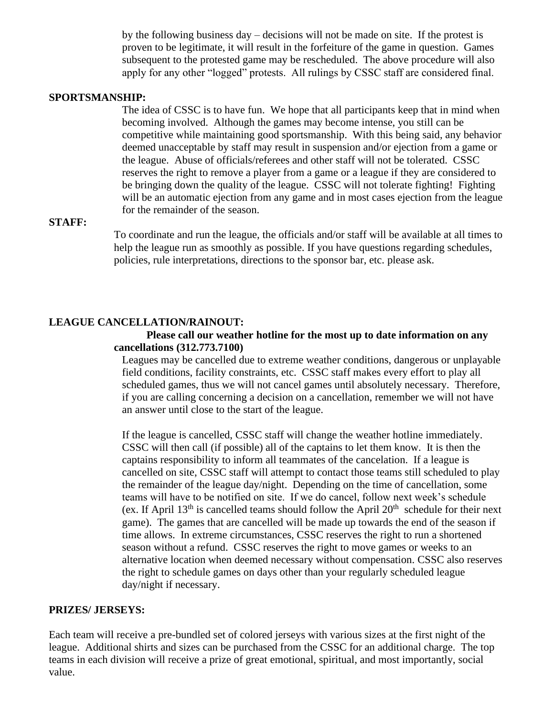by the following business day – decisions will not be made on site. If the protest is proven to be legitimate, it will result in the forfeiture of the game in question. Games subsequent to the protested game may be rescheduled. The above procedure will also apply for any other "logged" protests. All rulings by CSSC staff are considered final.

### **SPORTSMANSHIP:**

The idea of CSSC is to have fun. We hope that all participants keep that in mind when becoming involved. Although the games may become intense, you still can be competitive while maintaining good sportsmanship. With this being said, any behavior deemed unacceptable by staff may result in suspension and/or ejection from a game or the league. Abuse of officials/referees and other staff will not be tolerated. CSSC reserves the right to remove a player from a game or a league if they are considered to be bringing down the quality of the league. CSSC will not tolerate fighting! Fighting will be an automatic ejection from any game and in most cases ejection from the league for the remainder of the season.

### **STAFF:**

To coordinate and run the league, the officials and/or staff will be available at all times to help the league run as smoothly as possible. If you have questions regarding schedules, policies, rule interpretations, directions to the sponsor bar, etc. please ask.

### **LEAGUE CANCELLATION/RAINOUT:**

### **Please call our weather hotline for the most up to date information on any cancellations (312.773.7100)**

Leagues may be cancelled due to extreme weather conditions, dangerous or unplayable field conditions, facility constraints, etc. CSSC staff makes every effort to play all scheduled games, thus we will not cancel games until absolutely necessary. Therefore, if you are calling concerning a decision on a cancellation, remember we will not have an answer until close to the start of the league.

If the league is cancelled, CSSC staff will change the weather hotline immediately. CSSC will then call (if possible) all of the captains to let them know. It is then the captains responsibility to inform all teammates of the cancelation. If a league is cancelled on site, CSSC staff will attempt to contact those teams still scheduled to play the remainder of the league day/night. Depending on the time of cancellation, some teams will have to be notified on site. If we do cancel, follow next week's schedule (ex. If April  $13<sup>th</sup>$  is cancelled teams should follow the April  $20<sup>th</sup>$  schedule for their next game). The games that are cancelled will be made up towards the end of the season if time allows. In extreme circumstances, CSSC reserves the right to run a shortened season without a refund. CSSC reserves the right to move games or weeks to an alternative location when deemed necessary without compensation. CSSC also reserves the right to schedule games on days other than your regularly scheduled league day/night if necessary.

### **PRIZES/ JERSEYS:**

Each team will receive a pre-bundled set of colored jerseys with various sizes at the first night of the league. Additional shirts and sizes can be purchased from the CSSC for an additional charge. The top teams in each division will receive a prize of great emotional, spiritual, and most importantly, social value.